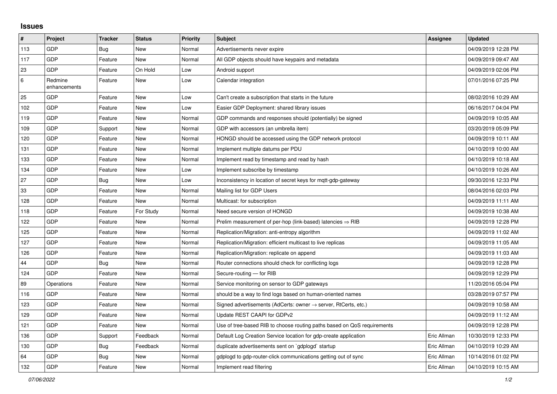## **Issues**

| #   | <b>Project</b>          | <b>Tracker</b> | <b>Status</b> | <b>Priority</b> | <b>Subject</b>                                                             | Assignee    | <b>Updated</b>      |
|-----|-------------------------|----------------|---------------|-----------------|----------------------------------------------------------------------------|-------------|---------------------|
| 113 | GDP                     | Bug            | <b>New</b>    | Normal          | Advertisements never expire                                                |             | 04/09/2019 12:28 PM |
| 117 | GDP                     | Feature        | <b>New</b>    | Normal          | All GDP objects should have keypairs and metadata                          |             | 04/09/2019 09:47 AM |
| 23  | GDP                     | Feature        | On Hold       | Low             | Android support                                                            |             | 04/09/2019 02:06 PM |
| 6   | Redmine<br>enhancements | Feature        | <b>New</b>    | Low             | Calendar integration                                                       |             | 07/01/2016 07:25 PM |
| 25  | <b>GDP</b>              | Feature        | <b>New</b>    | Low             | Can't create a subscription that starts in the future                      |             | 08/02/2016 10:29 AM |
| 102 | GDP                     | Feature        | <b>New</b>    | Low             | Easier GDP Deployment: shared library issues                               |             | 06/16/2017 04:04 PM |
| 119 | GDP                     | Feature        | <b>New</b>    | Normal          | GDP commands and responses should (potentially) be signed                  |             | 04/09/2019 10:05 AM |
| 109 | GDP                     | Support        | New           | Normal          | GDP with accessors (an umbrella item)                                      |             | 03/20/2019 05:09 PM |
| 120 | GDP                     | Feature        | New           | Normal          | HONGD should be accessed using the GDP network protocol                    |             | 04/09/2019 10:11 AM |
| 131 | GDP                     | Feature        | <b>New</b>    | Normal          | Implement multiple datums per PDU                                          |             | 04/10/2019 10:00 AM |
| 133 | GDP                     | Feature        | <b>New</b>    | Normal          | Implement read by timestamp and read by hash                               |             | 04/10/2019 10:18 AM |
| 134 | GDP                     | Feature        | New           | Low             | Implement subscribe by timestamp                                           |             | 04/10/2019 10:26 AM |
| 27  | GDP                     | <b>Bug</b>     | <b>New</b>    | Low             | Inconsistency in location of secret keys for mqtt-gdp-gateway              |             | 09/30/2016 12:33 PM |
| 33  | GDP                     | Feature        | New           | Normal          | Mailing list for GDP Users                                                 |             | 08/04/2016 02:03 PM |
| 128 | GDP                     | Feature        | <b>New</b>    | Normal          | Multicast: for subscription                                                |             | 04/09/2019 11:11 AM |
| 118 | GDP                     | Feature        | For Study     | Normal          | Need secure version of HONGD                                               |             | 04/09/2019 10:38 AM |
| 122 | GDP                     | Feature        | <b>New</b>    | Normal          | Prelim measurement of per-hop (link-based) latencies $\Rightarrow$ RIB     |             | 04/09/2019 12:28 PM |
| 125 | GDP                     | Feature        | New           | Normal          | Replication/Migration: anti-entropy algorithm                              |             | 04/09/2019 11:02 AM |
| 127 | GDP                     | Feature        | New           | Normal          | Replication/Migration: efficient multicast to live replicas                |             | 04/09/2019 11:05 AM |
| 126 | GDP                     | Feature        | <b>New</b>    | Normal          | Replication/Migration: replicate on append                                 |             | 04/09/2019 11:03 AM |
| 44  | GDP                     | <b>Bug</b>     | <b>New</b>    | Normal          | Router connections should check for conflicting logs                       |             | 04/09/2019 12:28 PM |
| 124 | GDP                     | Feature        | <b>New</b>    | Normal          | Secure-routing - for RIB                                                   |             | 04/09/2019 12:29 PM |
| 89  | Operations              | Feature        | <b>New</b>    | Normal          | Service monitoring on sensor to GDP gateways                               |             | 11/20/2016 05:04 PM |
| 116 | GDP                     | Feature        | New           | Normal          | should be a way to find logs based on human-oriented names                 |             | 03/28/2019 07:57 PM |
| 123 | GDP                     | Feature        | <b>New</b>    | Normal          | Signed advertisements (AdCerts: owner $\rightarrow$ server, RtCerts, etc.) |             | 04/09/2019 10:58 AM |
| 129 | GDP                     | Feature        | <b>New</b>    | Normal          | Update REST CAAPI for GDPv2                                                |             | 04/09/2019 11:12 AM |
| 121 | GDP                     | Feature        | <b>New</b>    | Normal          | Use of tree-based RIB to choose routing paths based on QoS requirements    |             | 04/09/2019 12:28 PM |
| 136 | GDP                     | Support        | Feedback      | Normal          | Default Log Creation Service location for gdp-create application           | Eric Allman | 10/30/2019 12:33 PM |
| 130 | GDP                     | Bug            | Feedback      | Normal          | duplicate advertisements sent on `gdplogd` startup                         | Eric Allman | 04/10/2019 10:29 AM |
| 64  | GDP                     | Bug            | <b>New</b>    | Normal          | gdplogd to gdp-router-click communications getting out of sync             | Eric Allman | 10/14/2016 01:02 PM |
| 132 | GDP                     | Feature        | New           | Normal          | Implement read filtering                                                   | Eric Allman | 04/10/2019 10:15 AM |